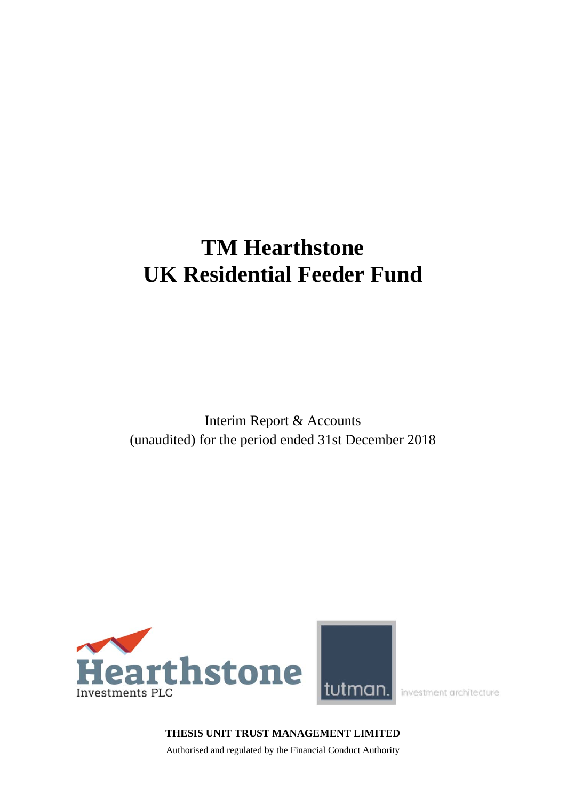# **TM Hearthstone UK Residential Feeder Fund**

Interim Report & Accounts (unaudited) for the period ended 31st December 2018



investment architecture

# **THESIS UNIT TRUST MANAGEMENT LIMITED**

Authorised and regulated by the Financial Conduct Authority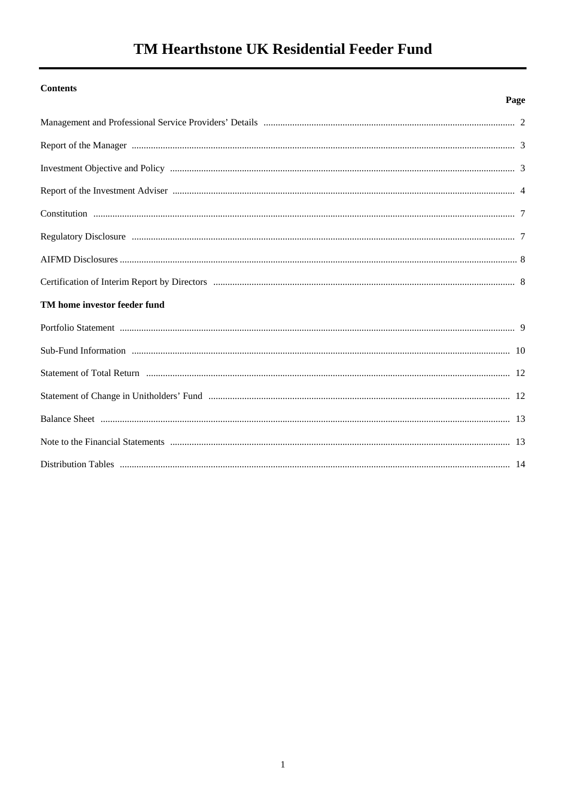# TM Hearthstone UK Residential Feeder Fund

# **Contents**

# Page

| TM home investor feeder fund |  |
|------------------------------|--|
|                              |  |
|                              |  |
|                              |  |
|                              |  |
|                              |  |
|                              |  |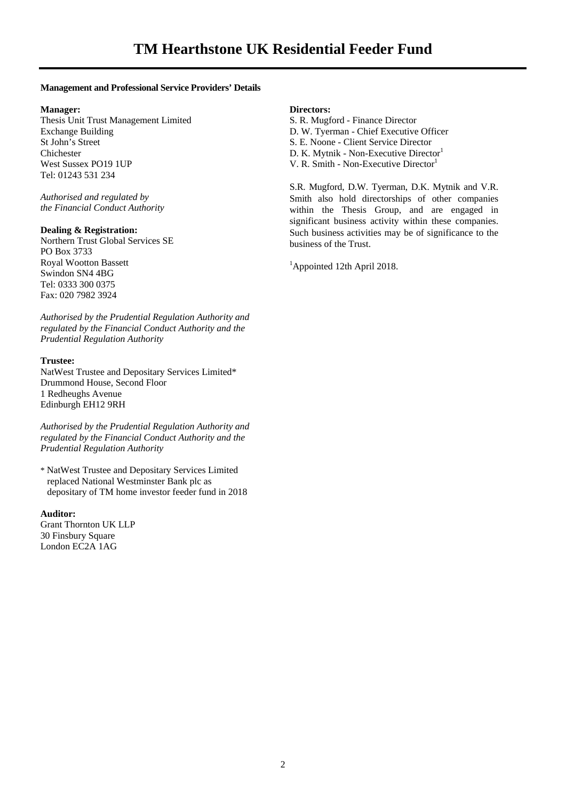#### **Management and Professional Service Providers' Details**

#### **Manager:**

Thesis Unit Trust Management Limited Exchange Building St John's Street Chichester West Sussex PO19 1UP Tel: 01243 531 234

*Authorised and regulated by the Financial Conduct Authority* 

#### **Dealing & Registration:**

Northern Trust Global Services SE PO Box 3733 Royal Wootton Bassett Swindon SN4 4BG Tel: 0333 300 0375 Fax: 020 7982 3924

*Authorised by the Prudential Regulation Authority and regulated by the Financial Conduct Authority and the Prudential Regulation Authority* 

#### **Trustee:**

NatWest Trustee and Depositary Services Limited\* Drummond House, Second Floor 1 Redheughs Avenue Edinburgh EH12 9RH

*Authorised by the Prudential Regulation Authority and regulated by the Financial Conduct Authority and the Prudential Regulation Authority* 

\* NatWest Trustee and Depositary Services Limited replaced National Westminster Bank plc as depositary of TM home investor feeder fund in 2018

#### **Auditor:**

Grant Thornton UK LLP 30 Finsbury Square London EC2A 1AG

#### **Directors:**

S. R. Mugford - Finance Director D. W. Tyerman - Chief Executive Officer S. E. Noone - Client Service Director D. K. Mytnik - Non-Executive Director<sup>1</sup> V. R. Smith - Non-Executive Director<sup>1</sup>

S.R. Mugford, D.W. Tyerman, D.K. Mytnik and V.R. Smith also hold directorships of other companies within the Thesis Group, and are engaged in significant business activity within these companies. Such business activities may be of significance to the business of the Trust.

<sup>1</sup>Appointed 12th April 2018.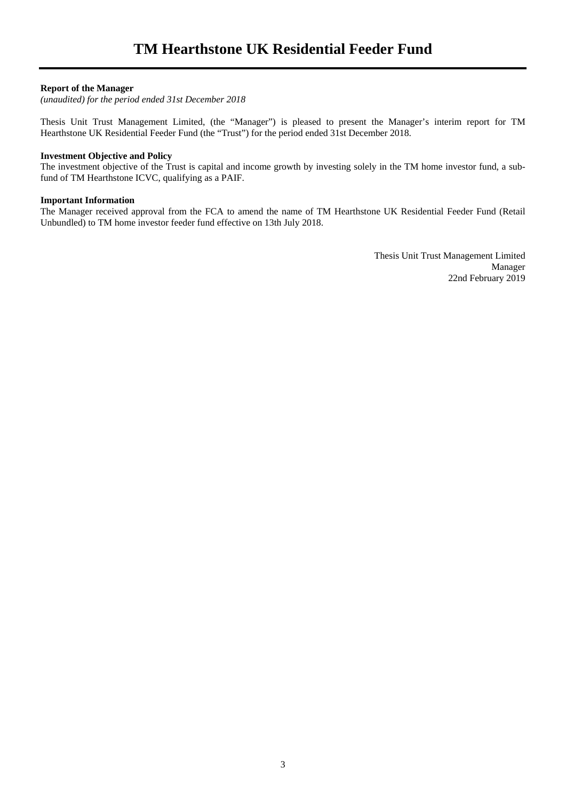#### **Report of the Manager**

*(unaudited) for the period ended 31st December 2018* 

Thesis Unit Trust Management Limited, (the "Manager") is pleased to present the Manager's interim report for TM Hearthstone UK Residential Feeder Fund (the "Trust") for the period ended 31st December 2018.

#### **Investment Objective and Policy**

The investment objective of the Trust is capital and income growth by investing solely in the TM home investor fund, a subfund of TM Hearthstone ICVC, qualifying as a PAIF.

#### **Important Information**

The Manager received approval from the FCA to amend the name of TM Hearthstone UK Residential Feeder Fund (Retail Unbundled) to TM home investor feeder fund effective on 13th July 2018.

> Thesis Unit Trust Management Limited Manager 22nd February 2019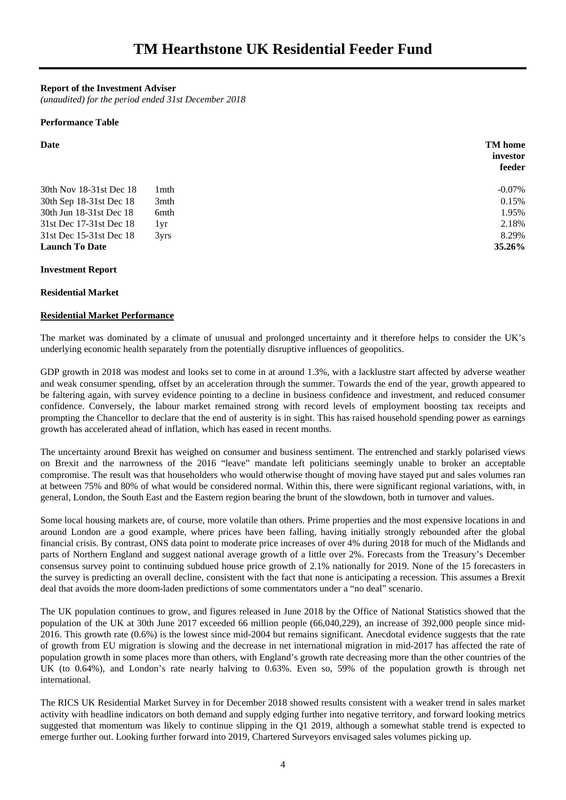**Report of the Investment Adviser** 

*(unaudited) for the period ended 31st December 2018* 

#### **Performance Table**

| Date                    |                  | <b>TM</b> home<br>investor<br>feeder |
|-------------------------|------------------|--------------------------------------|
| 30th Nov 18-31st Dec 18 | 1 <sub>mth</sub> | $-0.07\%$                            |
| 30th Sep 18-31st Dec 18 | 3mth             | 0.15%                                |
| 30th Jun 18-31st Dec 18 | 6mth             | 1.95%                                |
| 31st Dec 17-31st Dec 18 | 1yr              | 2.18%                                |
| 31st Dec 15-31st Dec 18 | $3V$ rs          | 8.29%                                |
| <b>Launch To Date</b>   |                  | <b>35.26%</b>                        |

#### **Investment Report**

#### **Residential Market**

#### **Residential Market Performance**

The market was dominated by a climate of unusual and prolonged uncertainty and it therefore helps to consider the UK's underlying economic health separately from the potentially disruptive influences of geopolitics.

GDP growth in 2018 was modest and looks set to come in at around 1.3%, with a lacklustre start affected by adverse weather and weak consumer spending, offset by an acceleration through the summer. Towards the end of the year, growth appeared to be faltering again, with survey evidence pointing to a decline in business confidence and investment, and reduced consumer confidence. Conversely, the labour market remained strong with record levels of employment boosting tax receipts and prompting the Chancellor to declare that the end of austerity is in sight. This has raised household spending power as earnings growth has accelerated ahead of inflation, which has eased in recent months.

The uncertainty around Brexit has weighed on consumer and business sentiment. The entrenched and starkly polarised views on Brexit and the narrowness of the 2016 "leave" mandate left politicians seemingly unable to broker an acceptable compromise. The result was that householders who would otherwise thought of moving have stayed put and sales volumes ran at between 75% and 80% of what would be considered normal. Within this, there were significant regional variations, with, in general, London, the South East and the Eastern region bearing the brunt of the slowdown, both in turnover and values.

Some local housing markets are, of course, more volatile than others. Prime properties and the most expensive locations in and around London are a good example, where prices have been falling, having initially strongly rebounded after the global financial crisis. By contrast, ONS data point to moderate price increases of over 4% during 2018 for much of the Midlands and parts of Northern England and suggest national average growth of a little over 2%. Forecasts from the Treasury's December consensus survey point to continuing subdued house price growth of 2.1% nationally for 2019. None of the 15 forecasters in the survey is predicting an overall decline, consistent with the fact that none is anticipating a recession. This assumes a Brexit deal that avoids the more doom-laden predictions of some commentators under a "no deal" scenario.

The UK population continues to grow, and figures released in June 2018 by the Office of National Statistics showed that the population of the UK at 30th June 2017 exceeded 66 million people (66,040,229), an increase of 392,000 people since mid-2016. This growth rate (0.6%) is the lowest since mid-2004 but remains significant. Anecdotal evidence suggests that the rate of growth from EU migration is slowing and the decrease in net international migration in mid-2017 has affected the rate of population growth in some places more than others, with England's growth rate decreasing more than the other countries of the UK (to 0.64%), and London's rate nearly halving to 0.63%. Even so, 59% of the population growth is through net international.

The RICS UK Residential Market Survey in for December 2018 showed results consistent with a weaker trend in sales market activity with headline indicators on both demand and supply edging further into negative territory, and forward looking metrics suggested that momentum was likely to continue slipping in the Q1 2019, although a somewhat stable trend is expected to emerge further out. Looking further forward into 2019, Chartered Surveyors envisaged sales volumes picking up.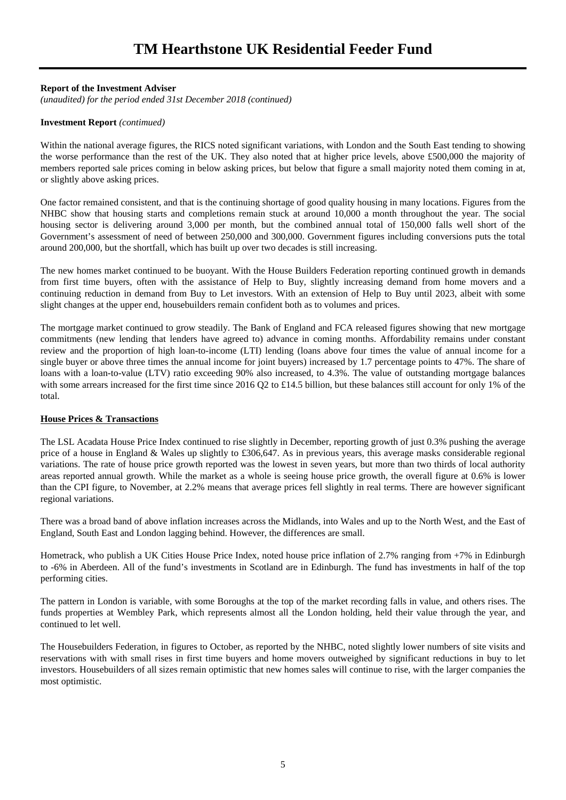#### **Report of the Investment Adviser**

*(unaudited) for the period ended 31st December 2018 (continued)* 

#### **Investment Report** *(contimued)*

Within the national average figures, the RICS noted significant variations, with London and the South East tending to showing the worse performance than the rest of the UK. They also noted that at higher price levels, above £500,000 the majority of members reported sale prices coming in below asking prices, but below that figure a small majority noted them coming in at, or slightly above asking prices.

One factor remained consistent, and that is the continuing shortage of good quality housing in many locations. Figures from the NHBC show that housing starts and completions remain stuck at around 10,000 a month throughout the year. The social housing sector is delivering around 3,000 per month, but the combined annual total of 150,000 falls well short of the Government's assessment of need of between 250,000 and 300,000. Government figures including conversions puts the total around 200,000, but the shortfall, which has built up over two decades is still increasing.

The new homes market continued to be buoyant. With the House Builders Federation reporting continued growth in demands from first time buyers, often with the assistance of Help to Buy, slightly increasing demand from home movers and a continuing reduction in demand from Buy to Let investors. With an extension of Help to Buy until 2023, albeit with some slight changes at the upper end, housebuilders remain confident both as to volumes and prices.

The mortgage market continued to grow steadily. The Bank of England and FCA released figures showing that new mortgage commitments (new lending that lenders have agreed to) advance in coming months. Affordability remains under constant review and the proportion of high loan-to-income (LTI) lending (loans above four times the value of annual income for a single buyer or above three times the annual income for joint buyers) increased by 1.7 percentage points to 47%. The share of loans with a loan-to-value (LTV) ratio exceeding 90% also increased, to 4.3%. The value of outstanding mortgage balances with some arrears increased for the first time since 2016 Q2 to £14.5 billion, but these balances still account for only 1% of the total.

#### **House Prices & Transactions**

The LSL Acadata House Price Index continued to rise slightly in December, reporting growth of just 0.3% pushing the average price of a house in England & Wales up slightly to £306,647. As in previous years, this average masks considerable regional variations. The rate of house price growth reported was the lowest in seven years, but more than two thirds of local authority areas reported annual growth. While the market as a whole is seeing house price growth, the overall figure at 0.6% is lower than the CPI figure, to November, at 2.2% means that average prices fell slightly in real terms. There are however significant regional variations.

There was a broad band of above inflation increases across the Midlands, into Wales and up to the North West, and the East of England, South East and London lagging behind. However, the differences are small.

Hometrack, who publish a UK Cities House Price Index, noted house price inflation of 2.7% ranging from +7% in Edinburgh to -6% in Aberdeen. All of the fund's investments in Scotland are in Edinburgh. The fund has investments in half of the top performing cities.

The pattern in London is variable, with some Boroughs at the top of the market recording falls in value, and others rises. The funds properties at Wembley Park, which represents almost all the London holding, held their value through the year, and continued to let well.

The Housebuilders Federation, in figures to October, as reported by the NHBC, noted slightly lower numbers of site visits and reservations with with small rises in first time buyers and home movers outweighed by significant reductions in buy to let investors. Housebuilders of all sizes remain optimistic that new homes sales will continue to rise, with the larger companies the most optimistic.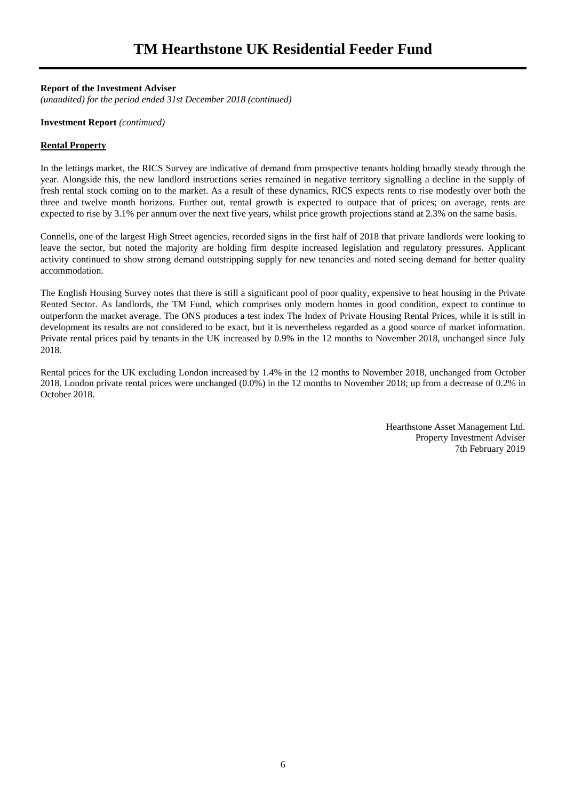#### **Report of the Investment Adviser**

*(unaudited) for the period ended 31st December 2018 (continued)* 

#### **Investment Report** *(contimued)*

#### **Rental Property**

In the lettings market, the RICS Survey are indicative of demand from prospective tenants holding broadly steady through the year. Alongside this, the new landlord instructions series remained in negative territory signalling a decline in the supply of fresh rental stock coming on to the market. As a result of these dynamics, RICS expects rents to rise modestly over both the three and twelve month horizons. Further out, rental growth is expected to outpace that of prices; on average, rents are expected to rise by 3.1% per annum over the next five years, whilst price growth projections stand at 2.3% on the same basis.

Connells, one of the largest High Street agencies, recorded signs in the first half of 2018 that private landlords were looking to leave the sector, but noted the majority are holding firm despite increased legislation and regulatory pressures. Applicant activity continued to show strong demand outstripping supply for new tenancies and noted seeing demand for better quality accommodation.

The English Housing Survey notes that there is still a significant pool of poor quality, expensive to heat housing in the Private Rented Sector. As landlords, the TM Fund, which comprises only modern homes in good condition, expect to continue to outperform the market average. The ONS produces a test index The Index of Private Housing Rental Prices, while it is still in development its results are not considered to be exact, but it is nevertheless regarded as a good source of market information. Private rental prices paid by tenants in the UK increased by 0.9% in the 12 months to November 2018, unchanged since July 2018.

Rental prices for the UK excluding London increased by 1.4% in the 12 months to November 2018, unchanged from October 2018. London private rental prices were unchanged (0.0%) in the 12 months to November 2018; up from a decrease of 0.2% in October 2018.

> Hearthstone Asset Management Ltd. Property Investment Adviser 7th February 2019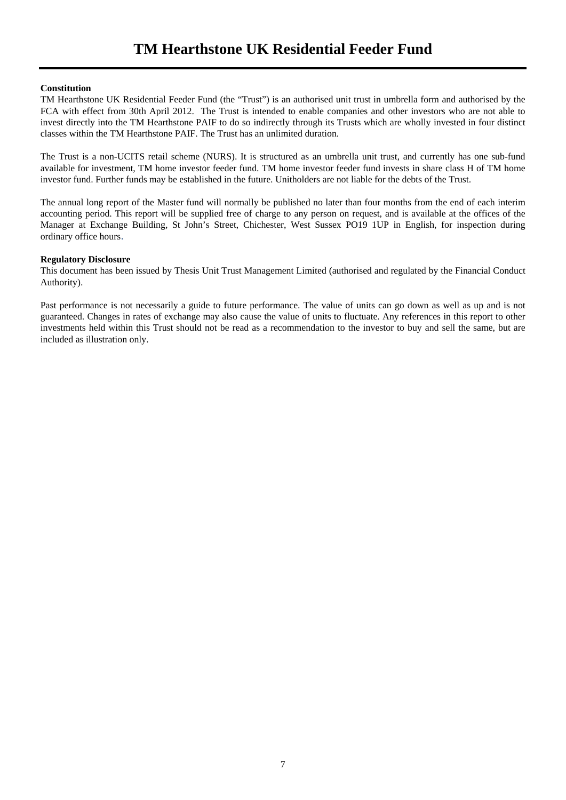#### **Constitution**

TM Hearthstone UK Residential Feeder Fund (the "Trust") is an authorised unit trust in umbrella form and authorised by the FCA with effect from 30th April 2012. The Trust is intended to enable companies and other investors who are not able to invest directly into the TM Hearthstone PAIF to do so indirectly through its Trusts which are wholly invested in four distinct classes within the TM Hearthstone PAIF. The Trust has an unlimited duration.

The Trust is a non-UCITS retail scheme (NURS). It is structured as an umbrella unit trust, and currently has one sub-fund available for investment, TM home investor feeder fund. TM home investor feeder fund invests in share class H of TM home investor fund. Further funds may be established in the future. Unitholders are not liable for the debts of the Trust.

The annual long report of the Master fund will normally be published no later than four months from the end of each interim accounting period. This report will be supplied free of charge to any person on request, and is available at the offices of the Manager at Exchange Building, St John's Street, Chichester, West Sussex PO19 1UP in English, for inspection during ordinary office hours.

#### **Regulatory Disclosure**

This document has been issued by Thesis Unit Trust Management Limited (authorised and regulated by the Financial Conduct Authority).

Past performance is not necessarily a guide to future performance. The value of units can go down as well as up and is not guaranteed. Changes in rates of exchange may also cause the value of units to fluctuate. Any references in this report to other investments held within this Trust should not be read as a recommendation to the investor to buy and sell the same, but are included as illustration only.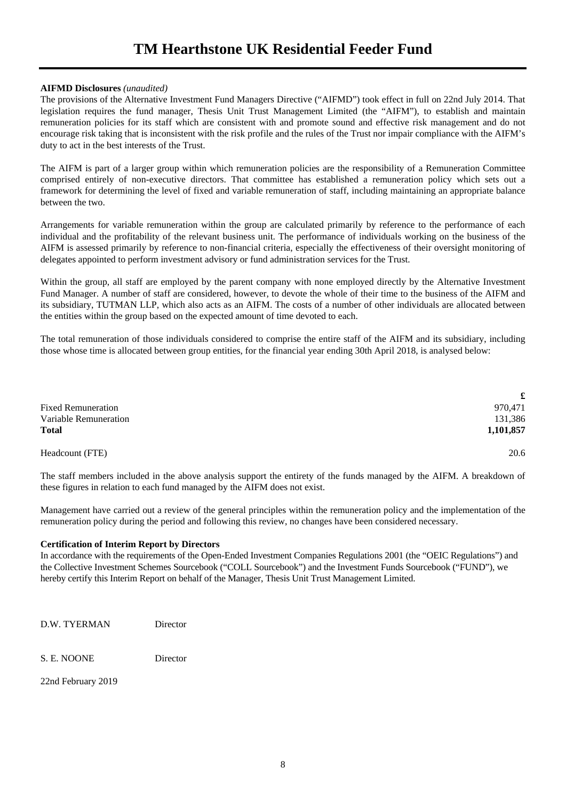# **TM Hearthstone UK Residential Feeder Fund**

#### **AIFMD Disclosures** *(unaudited)*

The provisions of the Alternative Investment Fund Managers Directive ("AIFMD") took effect in full on 22nd July 2014. That legislation requires the fund manager, Thesis Unit Trust Management Limited (the "AIFM"), to establish and maintain remuneration policies for its staff which are consistent with and promote sound and effective risk management and do not encourage risk taking that is inconsistent with the risk profile and the rules of the Trust nor impair compliance with the AIFM's duty to act in the best interests of the Trust.

The AIFM is part of a larger group within which remuneration policies are the responsibility of a Remuneration Committee comprised entirely of non-executive directors. That committee has established a remuneration policy which sets out a framework for determining the level of fixed and variable remuneration of staff, including maintaining an appropriate balance between the two.

Arrangements for variable remuneration within the group are calculated primarily by reference to the performance of each individual and the profitability of the relevant business unit. The performance of individuals working on the business of the AIFM is assessed primarily by reference to non-financial criteria, especially the effectiveness of their oversight monitoring of delegates appointed to perform investment advisory or fund administration services for the Trust.

Within the group, all staff are employed by the parent company with none employed directly by the Alternative Investment Fund Manager. A number of staff are considered, however, to devote the whole of their time to the business of the AIFM and its subsidiary, TUTMAN LLP, which also acts as an AIFM. The costs of a number of other individuals are allocated between the entities within the group based on the expected amount of time devoted to each.

The total remuneration of those individuals considered to comprise the entire staff of the AIFM and its subsidiary, including those whose time is allocated between group entities, for the financial year ending 30th April 2018, is analysed below:

|                           | £         |
|---------------------------|-----------|
| <b>Fixed Remuneration</b> | 970,471   |
| Variable Remuneration     | 131,386   |
| <b>Total</b>              | 1,101,857 |
| Headcount (FTE)           | 20.6      |

The staff members included in the above analysis support the entirety of the funds managed by the AIFM. A breakdown of these figures in relation to each fund managed by the AIFM does not exist.

Management have carried out a review of the general principles within the remuneration policy and the implementation of the remuneration policy during the period and following this review, no changes have been considered necessary.

#### **Certification of Interim Report by Directors**

In accordance with the requirements of the Open-Ended Investment Companies Regulations 2001 (the "OEIC Regulations") and the Collective Investment Schemes Sourcebook ("COLL Sourcebook") and the Investment Funds Sourcebook ("FUND"), we hereby certify this Interim Report on behalf of the Manager, Thesis Unit Trust Management Limited.

D.W. TYERMAN Director

S. E. NOONE Director

22nd February 2019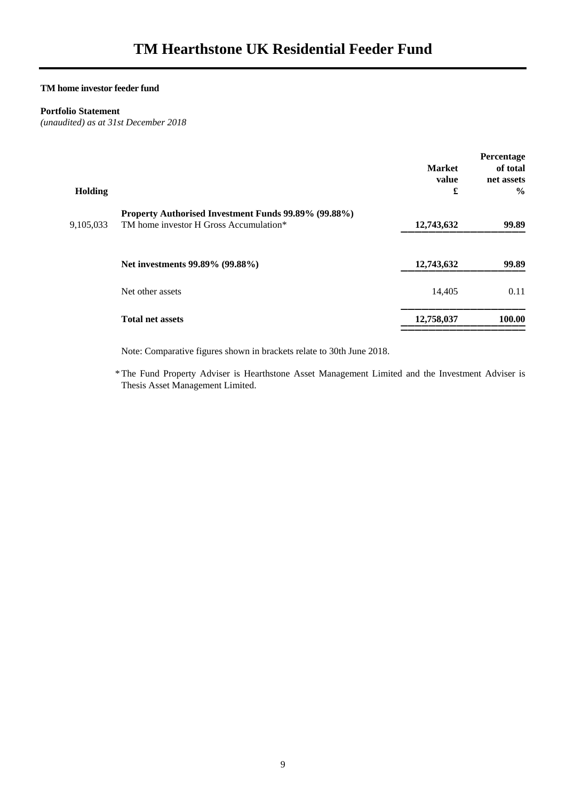#### **Portfolio Statement**

*(unaudited) as at 31st December 2018* 

|           |                                                      |               | Percentage    |
|-----------|------------------------------------------------------|---------------|---------------|
|           |                                                      | <b>Market</b> | of total      |
|           |                                                      | value         | net assets    |
| Holding   |                                                      | £             | $\frac{6}{9}$ |
|           | Property Authorised Investment Funds 99.89% (99.88%) |               |               |
| 9,105,033 | TM home investor H Gross Accumulation*               | 12,743,632    | 99.89         |
|           |                                                      |               |               |
|           | Net investments 99.89% (99.88%)                      | 12,743,632    | 99.89         |
|           | Net other assets                                     | 14,405        | 0.11          |
|           |                                                      |               |               |
|           | <b>Total net assets</b>                              | 12,758,037    | 100.00        |
|           |                                                      |               |               |

Note: Comparative figures shown in brackets relate to 30th June 2018.

 \* The Fund Property Adviser is Hearthstone Asset Management Limited and the Investment Adviser is Thesis Asset Management Limited.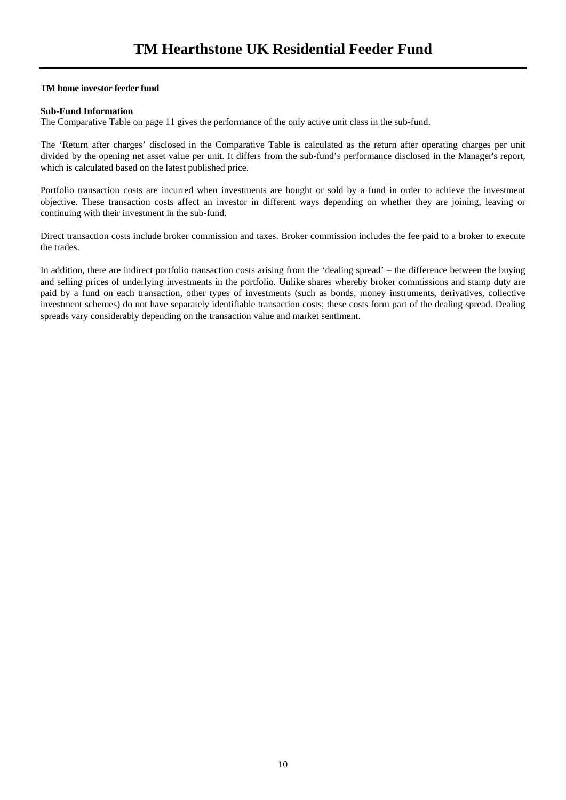#### **Sub-Fund Information**

The Comparative Table on page 11 gives the performance of the only active unit class in the sub-fund.

The 'Return after charges' disclosed in the Comparative Table is calculated as the return after operating charges per unit divided by the opening net asset value per unit. It differs from the sub-fund's performance disclosed in the Manager's report, which is calculated based on the latest published price.

Portfolio transaction costs are incurred when investments are bought or sold by a fund in order to achieve the investment objective. These transaction costs affect an investor in different ways depending on whether they are joining, leaving or continuing with their investment in the sub-fund.

Direct transaction costs include broker commission and taxes. Broker commission includes the fee paid to a broker to execute the trades.

In addition, there are indirect portfolio transaction costs arising from the 'dealing spread' – the difference between the buying and selling prices of underlying investments in the portfolio. Unlike shares whereby broker commissions and stamp duty are paid by a fund on each transaction, other types of investments (such as bonds, money instruments, derivatives, collective investment schemes) do not have separately identifiable transaction costs; these costs form part of the dealing spread. Dealing spreads vary considerably depending on the transaction value and market sentiment.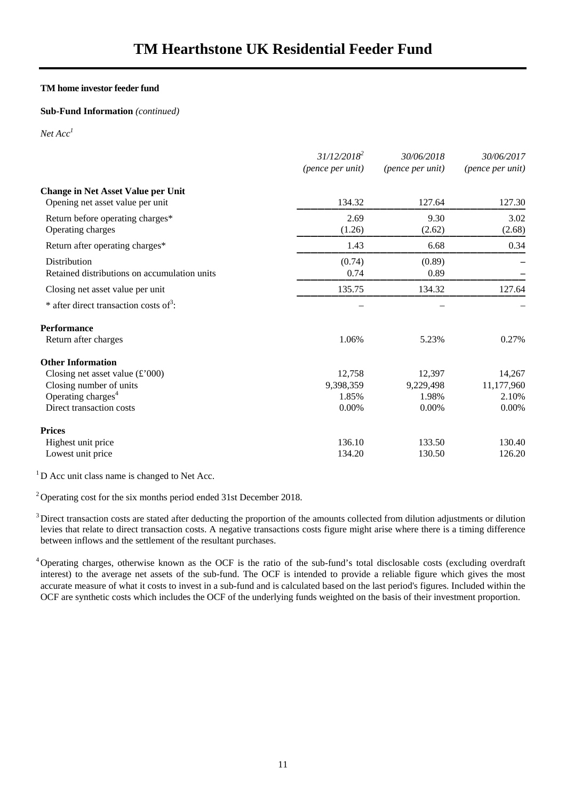#### **Sub-Fund Information** *(continued)*

*Net Acc1*

|                                                              | $31/12/2018^2$<br>(pence per unit) | 30/06/2018<br>(pence per unit) | 30/06/2017<br>(pence per unit) |
|--------------------------------------------------------------|------------------------------------|--------------------------------|--------------------------------|
| <b>Change in Net Asset Value per Unit</b>                    |                                    |                                |                                |
| Opening net asset value per unit                             | 134.32                             | 127.64                         | 127.30                         |
| Return before operating charges*<br>Operating charges        | 2.69<br>(1.26)                     | 9.30<br>(2.62)                 | 3.02<br>(2.68)                 |
| Return after operating charges*                              | 1.43                               | 6.68                           | 0.34                           |
| Distribution<br>Retained distributions on accumulation units | (0.74)<br>0.74                     | (0.89)<br>0.89                 |                                |
| Closing net asset value per unit                             | 135.75                             | 134.32                         | 127.64                         |
| * after direct transaction costs of <sup>3</sup> :           |                                    |                                |                                |
| <b>Performance</b>                                           |                                    |                                |                                |
| Return after charges                                         | 1.06%                              | 5.23%                          | 0.27%                          |
| <b>Other Information</b>                                     |                                    |                                |                                |
| Closing net asset value $(\text{\pounds}000)$                | 12,758                             | 12,397                         | 14,267                         |
| Closing number of units                                      | 9,398,359                          | 9,229,498                      | 11,177,960                     |
| Operating charges <sup>4</sup>                               | 1.85%                              | 1.98%                          | 2.10%                          |
| Direct transaction costs                                     | 0.00%                              | 0.00%                          | 0.00%                          |
| <b>Prices</b>                                                |                                    |                                |                                |
| Highest unit price                                           | 136.10                             | 133.50                         | 130.40                         |
| Lowest unit price                                            | 134.20                             | 130.50                         | 126.20                         |

<sup>1</sup>D Acc unit class name is changed to Net Acc.

<sup>2</sup> Operating cost for the six months period ended 31st December 2018.

 $3$  Direct transaction costs are stated after deducting the proportion of the amounts collected from dilution adjustments or dilution levies that relate to direct transaction costs. A negative transactions costs figure might arise where there is a timing difference between inflows and the settlement of the resultant purchases.

<sup>4</sup> Operating charges, otherwise known as the OCF is the ratio of the sub-fund's total disclosable costs (excluding overdraft interest) to the average net assets of the sub-fund. The OCF is intended to provide a reliable figure which gives the most accurate measure of what it costs to invest in a sub-fund and is calculated based on the last period's figures. Included within the OCF are synthetic costs which includes the OCF of the underlying funds weighted on the basis of their investment proportion.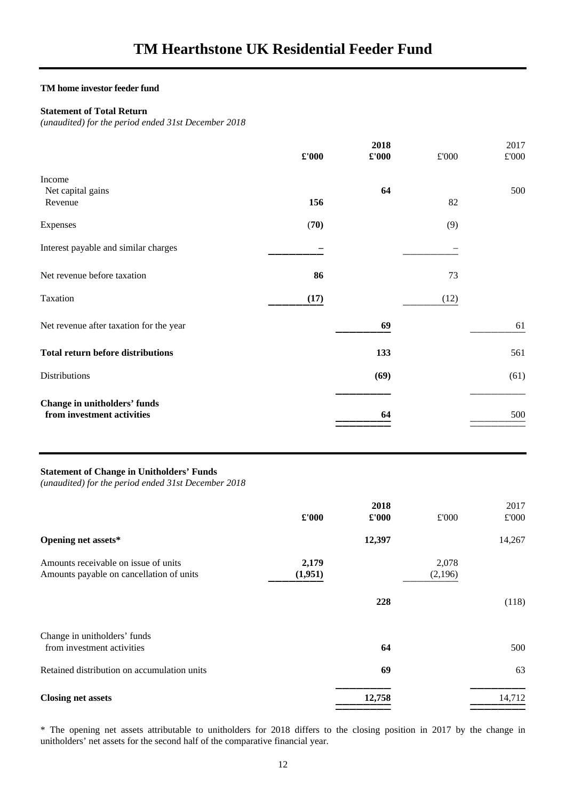#### **Statement of Total Return**

*(unaudited) for the period ended 31st December 2018* 

|                                                            | $\pmb{\pounds}$ '000 | 2018<br>$\pounds 000$ | £'000 | 2017<br>$\pounds 000$ |
|------------------------------------------------------------|----------------------|-----------------------|-------|-----------------------|
| Income<br>Net capital gains<br>Revenue                     | 156                  | 64                    | 82    | 500                   |
| Expenses                                                   | (70)                 |                       | (9)   |                       |
| Interest payable and similar charges                       |                      |                       |       |                       |
| Net revenue before taxation                                | 86                   |                       | 73    |                       |
| Taxation                                                   | (17)                 |                       | (12)  |                       |
| Net revenue after taxation for the year                    |                      | 69                    |       | 61                    |
| <b>Total return before distributions</b>                   |                      | 133                   |       | 561                   |
| Distributions                                              |                      | (69)                  |       | (61)                  |
| Change in unitholders' funds<br>from investment activities |                      | 64                    |       | 500                   |

#### **Statement of Change in Unitholders' Funds**

*(unaudited) for the period ended 31st December 2018* 

|                                                                                  | $\pounds 000$    | 2018<br>£'000 | £'000            | 2017<br>£'000 |
|----------------------------------------------------------------------------------|------------------|---------------|------------------|---------------|
| Opening net assets*                                                              |                  | 12,397        |                  | 14,267        |
| Amounts receivable on issue of units<br>Amounts payable on cancellation of units | 2,179<br>(1,951) |               | 2,078<br>(2,196) |               |
|                                                                                  |                  | 228           |                  | (118)         |
| Change in unitholders' funds<br>from investment activities                       |                  | 64            |                  | 500           |
| Retained distribution on accumulation units                                      |                  | 69            |                  | 63            |
| <b>Closing net assets</b>                                                        |                  | 12,758        |                  | 14,712        |

\* The opening net assets attributable to unitholders for 2018 differs to the closing position in 2017 by the change in unitholders' net assets for the second half of the comparative financial year.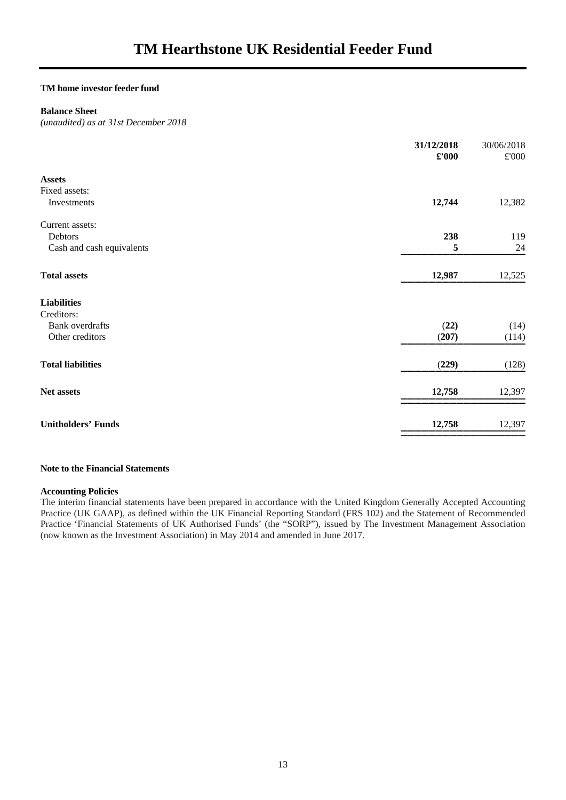### **Balance Sheet**

*(unaudited) as at 31st December 2018* 

|                           | 31/12/2018<br>$\pounds 000$ | 30/06/2018<br>$\pounds 000$ |
|---------------------------|-----------------------------|-----------------------------|
| <b>Assets</b>             |                             |                             |
| Fixed assets:             |                             |                             |
| Investments               | 12,744                      | 12,382                      |
| Current assets:           |                             |                             |
| Debtors                   | 238                         | 119                         |
| Cash and cash equivalents | 5                           | 24                          |
| <b>Total assets</b>       | 12,987                      | 12,525                      |
| <b>Liabilities</b>        |                             |                             |
| Creditors:                |                             |                             |
| <b>Bank</b> overdrafts    | (22)                        | (14)                        |
| Other creditors           | (207)                       | (114)                       |
| <b>Total liabilities</b>  | (229)                       | (128)                       |
| Net assets                | 12,758                      | 12,397                      |
| <b>Unitholders' Funds</b> | 12,758                      | 12,397                      |
|                           |                             |                             |

#### **Note to the Financial Statements**

#### **Accounting Policies**

The interim financial statements have been prepared in accordance with the United Kingdom Generally Accepted Accounting Practice (UK GAAP), as defined within the UK Financial Reporting Standard (FRS 102) and the Statement of Recommended Practice 'Financial Statements of UK Authorised Funds' (the "SORP"), issued by The Investment Management Association (now known as the Investment Association) in May 2014 and amended in June 2017.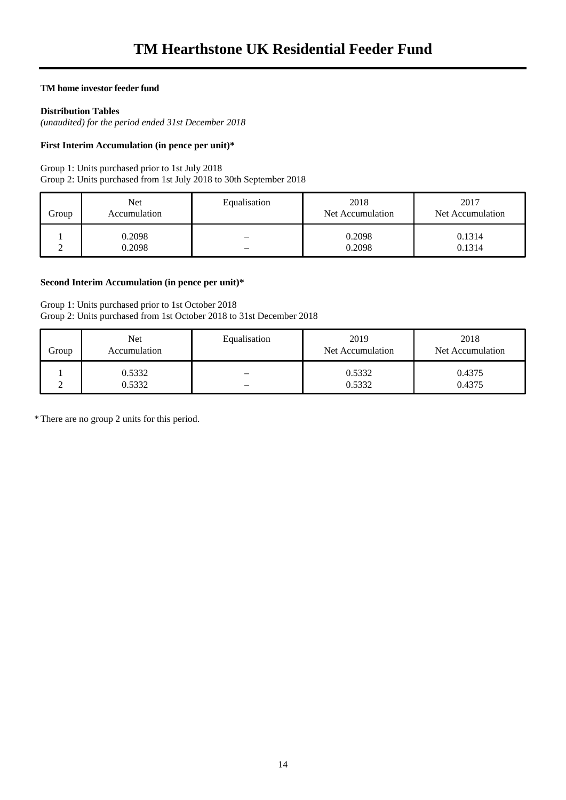#### **Distribution Tables**

*(unaudited) for the period ended 31st December 2018* 

#### **First Interim Accumulation (in pence per unit)\***

Group 1: Units purchased prior to 1st July 2018

Group 2: Units purchased from 1st July 2018 to 30th September 2018

| Group | Net<br>Accumulation | Equalisation | 2018<br>Net Accumulation | 2017<br>Net Accumulation |
|-------|---------------------|--------------|--------------------------|--------------------------|
|       | 0.2098              |              | 0.2098                   | 0.1314                   |
|       | 0.2098              |              | 0.2098                   | 0.1314                   |

#### **Second Interim Accumulation (in pence per unit)\***

#### Group 1: Units purchased prior to 1st October 2018 Group 2: Units purchased from 1st October 2018 to 31st December 2018

| Group | Net<br>Accumulation | Equalisation | 2019<br>Net Accumulation | 2018<br>Net Accumulation |
|-------|---------------------|--------------|--------------------------|--------------------------|
|       | 0.5332<br>0.5332    |              | 0.5332<br>0.5332         | 0.4375<br>0.4375         |

\* There are no group 2 units for this period.